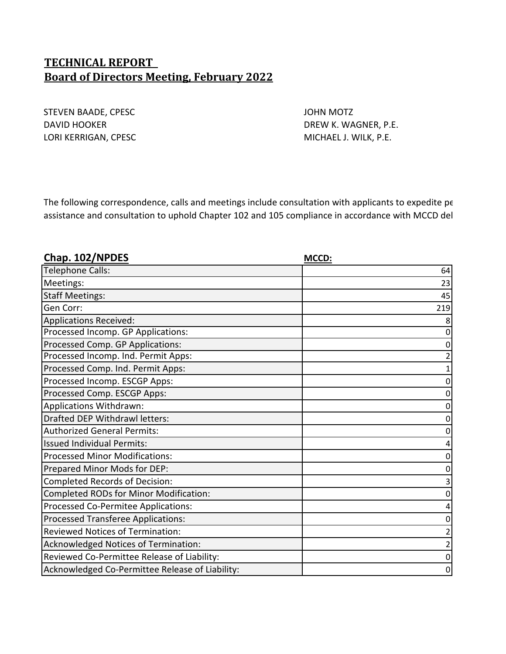# **TECHNICAL REPORT Board of Directors Meeting, February 2022**

STEVEN BAADE, CPESC **And STEVEN BAADE**, CPESC **JOHN MOTZ** DAVID HOOKER DAVID HOOKER DREW K. WAGNER, P.E. LORI KERRIGAN, CPESC **MICHAEL J. WILK, P.E.** 

The following correspondence, calls and meetings include consultation with applicants to expedite pe assistance and consultation to uphold Chapter 102 and 105 compliance in accordance with MCCD del

| Chap. 102/NPDES                                 | MCCD: |
|-------------------------------------------------|-------|
| <b>Telephone Calls:</b>                         | 64    |
| Meetings:                                       | 23    |
| <b>Staff Meetings:</b>                          | 45    |
| Gen Corr:                                       | 219   |
| <b>Applications Received:</b>                   |       |
| Processed Incomp. GP Applications:              |       |
| Processed Comp. GP Applications:                |       |
| Processed Incomp. Ind. Permit Apps:             |       |
| Processed Comp. Ind. Permit Apps:               |       |
| Processed Incomp. ESCGP Apps:                   |       |
| Processed Comp. ESCGP Apps:                     |       |
| Applications Withdrawn:                         |       |
| Drafted DEP Withdrawl letters:                  |       |
| <b>Authorized General Permits:</b>              |       |
| <b>Issued Individual Permits:</b>               |       |
| <b>Processed Minor Modifications:</b>           |       |
| Prepared Minor Mods for DEP:                    |       |
| <b>Completed Records of Decision:</b>           |       |
| <b>Completed RODs for Minor Modification:</b>   |       |
| Processed Co-Permitee Applications:             |       |
| <b>Processed Transferee Applications:</b>       |       |
| <b>Reviewed Notices of Termination:</b>         |       |
| Acknowledged Notices of Termination:            |       |
| Reviewed Co-Permittee Release of Liability:     |       |
| Acknowledged Co-Permittee Release of Liability: | 0     |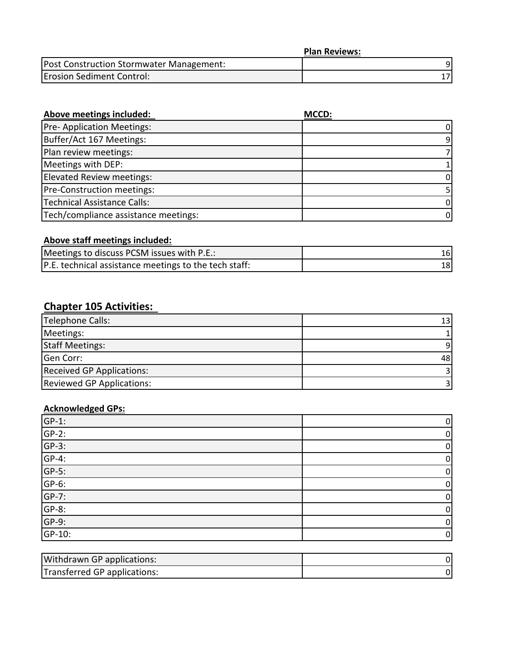|                                          | <b>Plan Reviews:</b> |
|------------------------------------------|----------------------|
| Post Construction Stormwater Management: |                      |
| <b>Erosion Sediment Control:</b>         |                      |

| Above meetings included:             | MCCD: |
|--------------------------------------|-------|
| <b>Pre-Application Meetings:</b>     | 0     |
| Buffer/Act 167 Meetings:             | 9.    |
| Plan review meetings:                |       |
| Meetings with DEP:                   |       |
| Elevated Review meetings:            |       |
| Pre-Construction meetings:           |       |
| <b>Technical Assistance Calls:</b>   | 0     |
| Tech/compliance assistance meetings: | 0     |

# **Above staff meetings included:**

| Meetings to discuss PCSM issues with P.E.:            |      |
|-------------------------------------------------------|------|
| P.E. technical assistance meetings to the tech staff: | 18 I |

# **Chapter 105 Activities:**

| Telephone Calls:                 | 13 <sup>1</sup> |
|----------------------------------|-----------------|
| Meetings:                        |                 |
| <b>Staff Meetings:</b>           |                 |
| Gen Corr:                        | 48              |
| <b>Received GP Applications:</b> |                 |
| <b>Reviewed GP Applications:</b> |                 |

## **Acknowledged GPs:**

| $GP-1$ : | $\overline{0}$ |
|----------|----------------|
| $GP-2$ : | $\mathbf{0}$   |
| $GP-3$ : | 0              |
| $GP-4:$  | 0              |
| $GP-5$ : | 0              |
| $GP-6$ : | 0              |
| $GP-7$ : | 0              |
| $GP-8$ : | 0              |
| $GP-9$ : | $\mathbf{0}$   |
| GP-10:   | 0              |

| Withdrawn GP applications:   |  |
|------------------------------|--|
| Transferred GP applications: |  |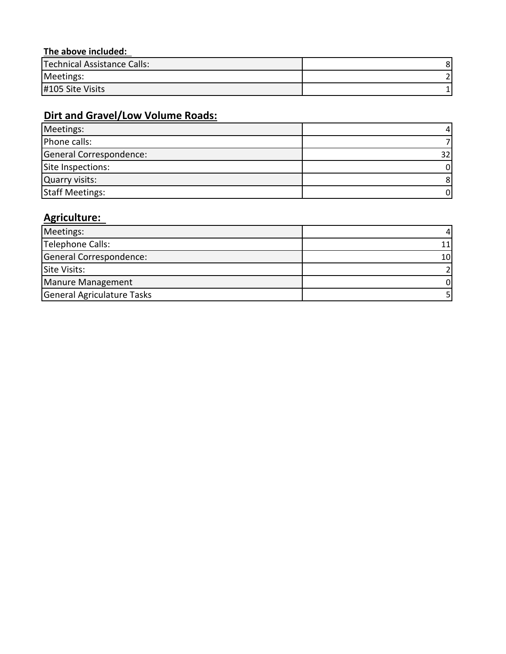## **The above included:**

| Technical Assistance Calls: |  |
|-----------------------------|--|
| Meetings:                   |  |
| #105 Site Visits            |  |

# **Dirt and Gravel/Low Volume Roads:**

| Meetings:               |    |
|-------------------------|----|
| Phone calls:            |    |
| General Correspondence: |    |
| Site Inspections:       | 0  |
| <b>Quarry visits:</b>   | 8  |
| <b>Staff Meetings:</b>  | 01 |

# **Agriculture:**

| Meetings:                  |    |
|----------------------------|----|
| Telephone Calls:           |    |
| General Correspondence:    | 10 |
| Site Visits:               |    |
| Manure Management          |    |
| General Agriculature Tasks |    |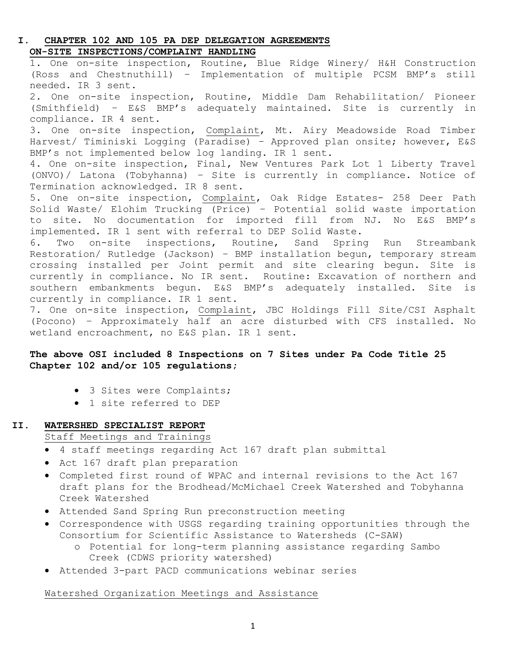## **I. CHAPTER 102 AND 105 PA DEP DELEGATION AGREEMENTS ON-SITE INSPECTIONS/COMPLAINT HANDLING**

1. One on-site inspection, Routine, Blue Ridge Winery/ H&H Construction (Ross and Chestnuthill) – Implementation of multiple PCSM BMP's still needed. IR 3 sent. 2. One on-site inspection, Routine, Middle Dam Rehabilitation/ Pioneer (Smithfield) – E&S BMP's adequately maintained. Site is currently in compliance. IR 4 sent. 3. One on-site inspection, Complaint, Mt. Airy Meadowside Road Timber Harvest/ Timiniski Logging (Paradise) – Approved plan onsite; however, E&S BMP's not implemented below log landing. IR 1 sent. 4. One on-site inspection, Final, New Ventures Park Lot 1 Liberty Travel (ONVO)/ Latona (Tobyhanna) – Site is currently in compliance. Notice of Termination acknowledged. IR 8 sent. 5. One on-site inspection, Complaint, Oak Ridge Estates- 258 Deer Path Solid Waste/ Elohim Trucking (Price) – Potential solid waste importation to site. No documentation for imported fill from NJ. No E&S BMP's implemented. IR 1 sent with referral to DEP Solid Waste. 6. Two on-site inspections, Routine, Sand Spring Run Streambank Restoration/ Rutledge (Jackson) – BMP installation begun, temporary stream crossing installed per Joint permit and site clearing begun. Site is currently in compliance. No IR sent. Routine: Excavation of northern and southern embankments begun. E&S BMP's adequately installed. Site is currently in compliance. IR 1 sent. 7. One on-site inspection, Complaint, JBC Holdings Fill Site/CSI Asphalt (Pocono) – Approximately half an acre disturbed with CFS installed. No

## **The above OSI included 8 Inspections on 7 Sites under Pa Code Title 25 Chapter 102 and/or 105 regulations;**

• 3 Sites were Complaints;

wetland encroachment, no E&S plan. IR 1 sent.

• 1 site referred to DEP

## **II. WATERSHED SPECIALIST REPORT**

Staff Meetings and Trainings

- 4 staff meetings regarding Act 167 draft plan submittal
- Act 167 draft plan preparation
- Completed first round of WPAC and internal revisions to the Act 167 draft plans for the Brodhead/McMichael Creek Watershed and Tobyhanna Creek Watershed
- Attended Sand Spring Run preconstruction meeting
- Correspondence with USGS regarding training opportunities through the Consortium for Scientific Assistance to Watersheds (C-SAW)
	- o Potential for long-term planning assistance regarding Sambo Creek (CDWS priority watershed)
- Attended 3-part PACD communications webinar series

## Watershed Organization Meetings and Assistance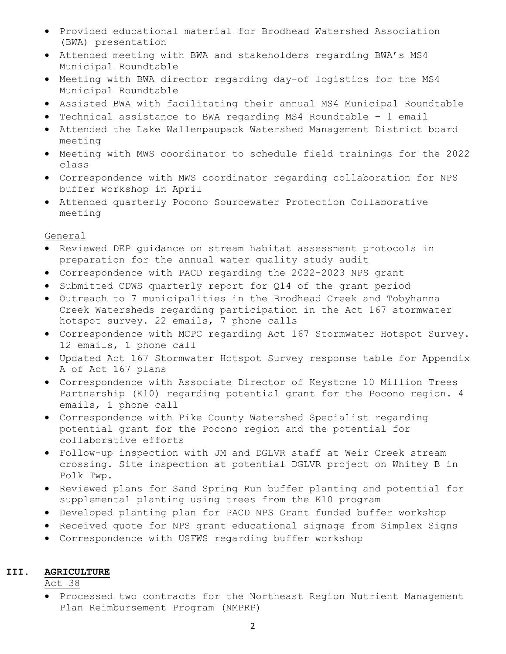- Provided educational material for Brodhead Watershed Association (BWA) presentation
- Attended meeting with BWA and stakeholders regarding BWA's MS4 Municipal Roundtable
- Meeting with BWA director regarding day-of logistics for the MS4 Municipal Roundtable
- Assisted BWA with facilitating their annual MS4 Municipal Roundtable
- Technical assistance to BWA regarding MS4 Roundtable 1 email
- Attended the Lake Wallenpaupack Watershed Management District board meeting
- Meeting with MWS coordinator to schedule field trainings for the 2022 class
- Correspondence with MWS coordinator regarding collaboration for NPS buffer workshop in April
- Attended quarterly Pocono Sourcewater Protection Collaborative meeting

General

- Reviewed DEP guidance on stream habitat assessment protocols in preparation for the annual water quality study audit
- Correspondence with PACD regarding the 2022-2023 NPS grant
- Submitted CDWS quarterly report for Q14 of the grant period
- Outreach to 7 municipalities in the Brodhead Creek and Tobyhanna Creek Watersheds regarding participation in the Act 167 stormwater hotspot survey. 22 emails, 7 phone calls
- Correspondence with MCPC regarding Act 167 Stormwater Hotspot Survey. 12 emails, 1 phone call
- Updated Act 167 Stormwater Hotspot Survey response table for Appendix A of Act 167 plans
- Correspondence with Associate Director of Keystone 10 Million Trees Partnership (K10) regarding potential grant for the Pocono region. 4 emails, 1 phone call
- Correspondence with Pike County Watershed Specialist regarding potential grant for the Pocono region and the potential for collaborative efforts
- Follow-up inspection with JM and DGLVR staff at Weir Creek stream crossing. Site inspection at potential DGLVR project on Whitey B in Polk Twp.
- Reviewed plans for Sand Spring Run buffer planting and potential for supplemental planting using trees from the K10 program
- Developed planting plan for PACD NPS Grant funded buffer workshop
- Received quote for NPS grant educational signage from Simplex Signs
- Correspondence with USFWS regarding buffer workshop

### **III. AGRICULTURE**

Act 38

• Processed two contracts for the Northeast Region Nutrient Management Plan Reimbursement Program (NMPRP)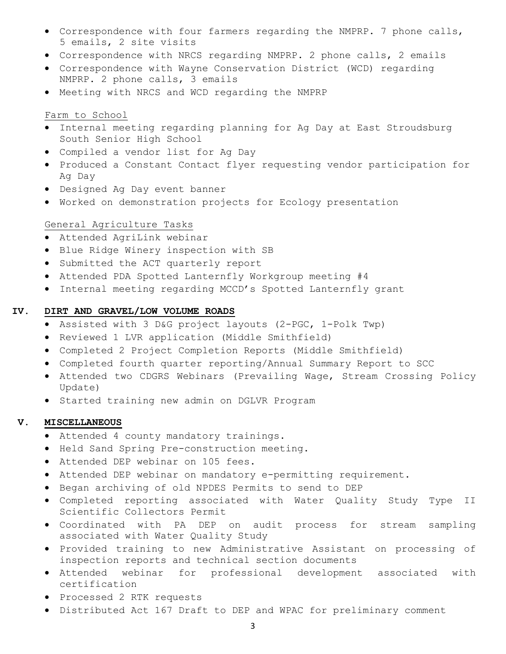- Correspondence with four farmers regarding the NMPRP. 7 phone calls, 5 emails, 2 site visits
- Correspondence with NRCS regarding NMPRP. 2 phone calls, 2 emails
- Correspondence with Wayne Conservation District (WCD) regarding NMPRP. 2 phone calls, 3 emails
- Meeting with NRCS and WCD regarding the NMPRP

### Farm to School

- Internal meeting regarding planning for Ag Day at East Stroudsburg South Senior High School
- Compiled a vendor list for Ag Day
- Produced a Constant Contact flyer requesting vendor participation for Ag Day
- Designed Ag Day event banner
- Worked on demonstration projects for Ecology presentation

### General Agriculture Tasks

- Attended AgriLink webinar
- Blue Ridge Winery inspection with SB
- Submitted the ACT quarterly report
- Attended PDA Spotted Lanternfly Workgroup meeting #4
- Internal meeting regarding MCCD's Spotted Lanternfly grant

## **IV. DIRT AND GRAVEL/LOW VOLUME ROADS**

- Assisted with 3 D&G project layouts (2-PGC, 1-Polk Twp)
- Reviewed 1 LVR application (Middle Smithfield)
- Completed 2 Project Completion Reports (Middle Smithfield)
- Completed fourth quarter reporting/Annual Summary Report to SCC
- Attended two CDGRS Webinars (Prevailing Wage, Stream Crossing Policy Update)
- Started training new admin on DGLVR Program

#### **V. MISCELLANEOUS**

- Attended 4 county mandatory trainings.
- Held Sand Spring Pre-construction meeting.
- Attended DEP webinar on 105 fees.
- Attended DEP webinar on mandatory e-permitting requirement.
- Began archiving of old NPDES Permits to send to DEP
- Completed reporting associated with Water Quality Study Type II Scientific Collectors Permit
- Coordinated with PA DEP on audit process for stream sampling associated with Water Quality Study
- Provided training to new Administrative Assistant on processing of inspection reports and technical section documents
- Attended webinar for professional development associated with certification
- Processed 2 RTK requests
- Distributed Act 167 Draft to DEP and WPAC for preliminary comment